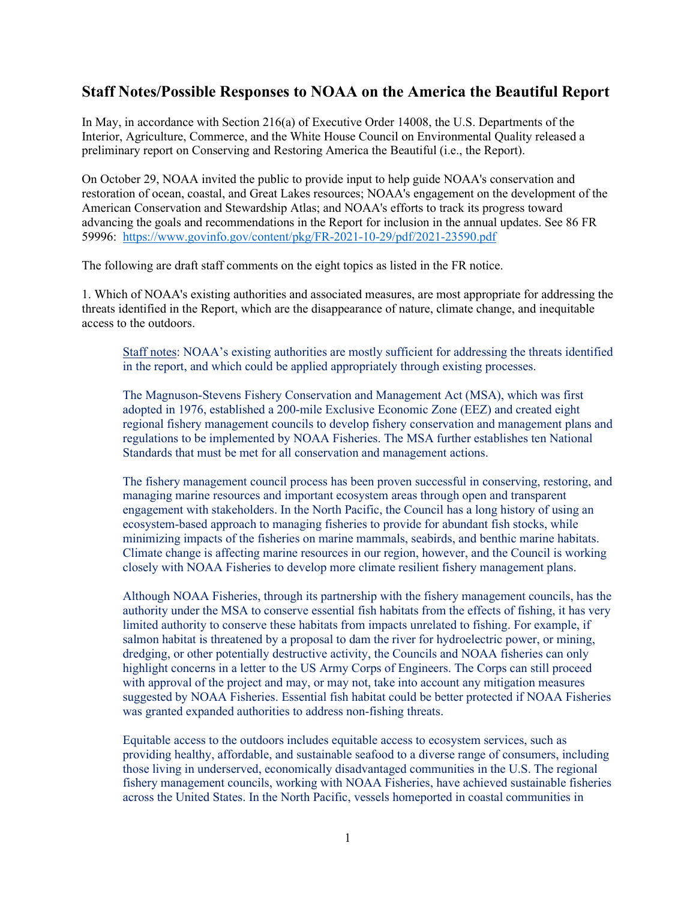## **Staff Notes/Possible Responses to NOAA on the America the Beautiful Report**

In May, in accordance with Section 216(a) of Executive Order 14008, the U.S. Departments of the Interior, Agriculture, Commerce, and the White House Council on Environmental Quality released a preliminary report on Conserving and Restoring America the Beautiful (i.e., the Report).

On October 29, NOAA invited the public to provide input to help guide NOAA's conservation and restoration of ocean, coastal, and Great Lakes resources; NOAA's engagement on the development of the American Conservation and Stewardship Atlas; and NOAA's efforts to track its progress toward advancing the goals and recommendations in the Report for inclusion in the annual updates. See 86 FR 59996: <https://www.govinfo.gov/content/pkg/FR-2021-10-29/pdf/2021-23590.pdf>

The following are draft staff comments on the eight topics as listed in the FR notice.

1. Which of NOAA's existing authorities and associated measures, are most appropriate for addressing the threats identified in the Report, which are the disappearance of nature, climate change, and inequitable access to the outdoors.

Staff notes: NOAA's existing authorities are mostly sufficient for addressing the threats identified in the report, and which could be applied appropriately through existing processes.

The Magnuson-Stevens Fishery Conservation and Management Act (MSA), which was first adopted in 1976, established a 200-mile Exclusive Economic Zone (EEZ) and created eight regional fishery management councils to develop fishery conservation and management plans and regulations to be implemented by NOAA Fisheries. The MSA further establishes ten National Standards that must be met for all conservation and management actions.

The fishery management council process has been proven successful in conserving, restoring, and managing marine resources and important ecosystem areas through open and transparent engagement with stakeholders. In the North Pacific, the Council has a long history of using an ecosystem-based approach to managing fisheries to provide for abundant fish stocks, while minimizing impacts of the fisheries on marine mammals, seabirds, and benthic marine habitats. Climate change is affecting marine resources in our region, however, and the Council is working closely with NOAA Fisheries to develop more climate resilient fishery management plans.

Although NOAA Fisheries, through its partnership with the fishery management councils, has the authority under the MSA to conserve essential fish habitats from the effects of fishing, it has very limited authority to conserve these habitats from impacts unrelated to fishing. For example, if salmon habitat is threatened by a proposal to dam the river for hydroelectric power, or mining, dredging, or other potentially destructive activity, the Councils and NOAA fisheries can only highlight concerns in a letter to the US Army Corps of Engineers. The Corps can still proceed with approval of the project and may, or may not, take into account any mitigation measures suggested by NOAA Fisheries. Essential fish habitat could be better protected if NOAA Fisheries was granted expanded authorities to address non-fishing threats.

Equitable access to the outdoors includes equitable access to ecosystem services, such as providing healthy, affordable, and sustainable seafood to a diverse range of consumers, including those living in underserved, economically disadvantaged communities in the U.S. The regional fishery management councils, working with NOAA Fisheries, have achieved sustainable fisheries across the United States. In the North Pacific, vessels homeported in coastal communities in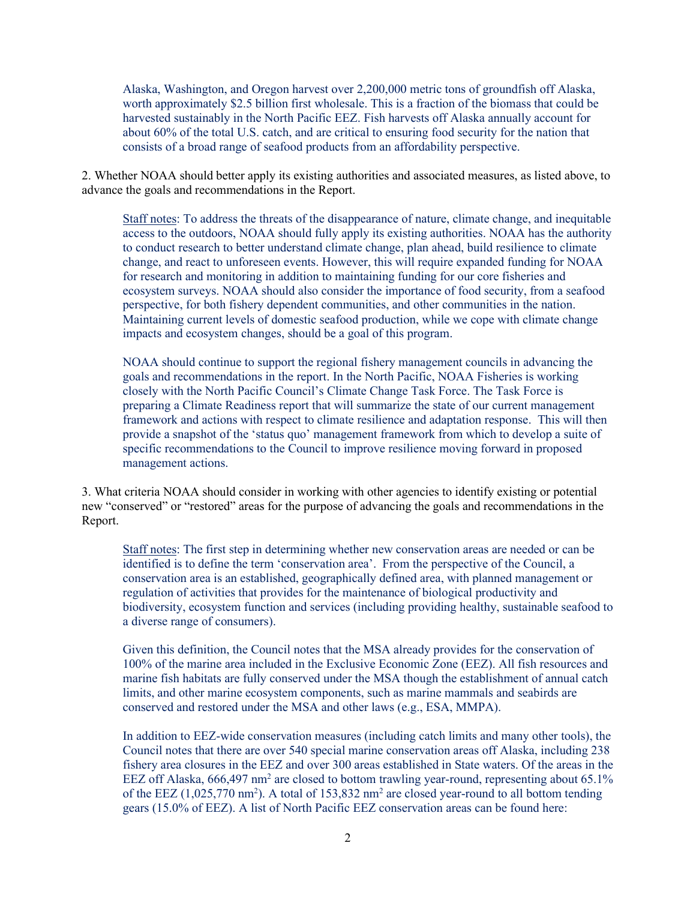Alaska, Washington, and Oregon harvest over 2,200,000 metric tons of groundfish off Alaska, worth approximately \$2.5 billion first wholesale. This is a fraction of the biomass that could be harvested sustainably in the North Pacific EEZ. Fish harvests off Alaska annually account for about 60% of the total U.S. catch, and are critical to ensuring food security for the nation that consists of a broad range of seafood products from an affordability perspective.

2. Whether NOAA should better apply its existing authorities and associated measures, as listed above, to advance the goals and recommendations in the Report.

Staff notes: To address the threats of the disappearance of nature, climate change, and inequitable access to the outdoors, NOAA should fully apply its existing authorities. NOAA has the authority to conduct research to better understand climate change, plan ahead, build resilience to climate change, and react to unforeseen events. However, this will require expanded funding for NOAA for research and monitoring in addition to maintaining funding for our core fisheries and ecosystem surveys. NOAA should also consider the importance of food security, from a seafood perspective, for both fishery dependent communities, and other communities in the nation. Maintaining current levels of domestic seafood production, while we cope with climate change impacts and ecosystem changes, should be a goal of this program.

NOAA should continue to support the regional fishery management councils in advancing the goals and recommendations in the report. In the North Pacific, NOAA Fisheries is working closely with the North Pacific Council's Climate Change Task Force. The Task Force is preparing a Climate Readiness report that will summarize the state of our current management framework and actions with respect to climate resilience and adaptation response. This will then provide a snapshot of the 'status quo' management framework from which to develop a suite of specific recommendations to the Council to improve resilience moving forward in proposed management actions.

3. What criteria NOAA should consider in working with other agencies to identify existing or potential new "conserved" or "restored" areas for the purpose of advancing the goals and recommendations in the Report.

Staff notes: The first step in determining whether new conservation areas are needed or can be identified is to define the term 'conservation area'. From the perspective of the Council, a conservation area is an established, geographically defined area, with planned management or regulation of activities that provides for the maintenance of biological productivity and biodiversity, ecosystem function and services (including providing healthy, sustainable seafood to a diverse range of consumers).

Given this definition, the Council notes that the MSA already provides for the conservation of 100% of the marine area included in the Exclusive Economic Zone (EEZ). All fish resources and marine fish habitats are fully conserved under the MSA though the establishment of annual catch limits, and other marine ecosystem components, such as marine mammals and seabirds are conserved and restored under the MSA and other laws (e.g., ESA, MMPA).

In addition to EEZ-wide conservation measures (including catch limits and many other tools), the Council notes that there are over 540 special marine conservation areas off Alaska, including 238 fishery area closures in the EEZ and over 300 areas established in State waters. Of the areas in the EEZ off Alaska,  $666,497$  nm<sup>2</sup> are closed to bottom trawling year-round, representing about  $65.1\%$ of the EEZ  $(1,025,770 \text{ nm}^2)$ . A total of 153,832 nm<sup>2</sup> are closed year-round to all bottom tending gears (15.0% of EEZ). A list of North Pacific EEZ conservation areas can be found here: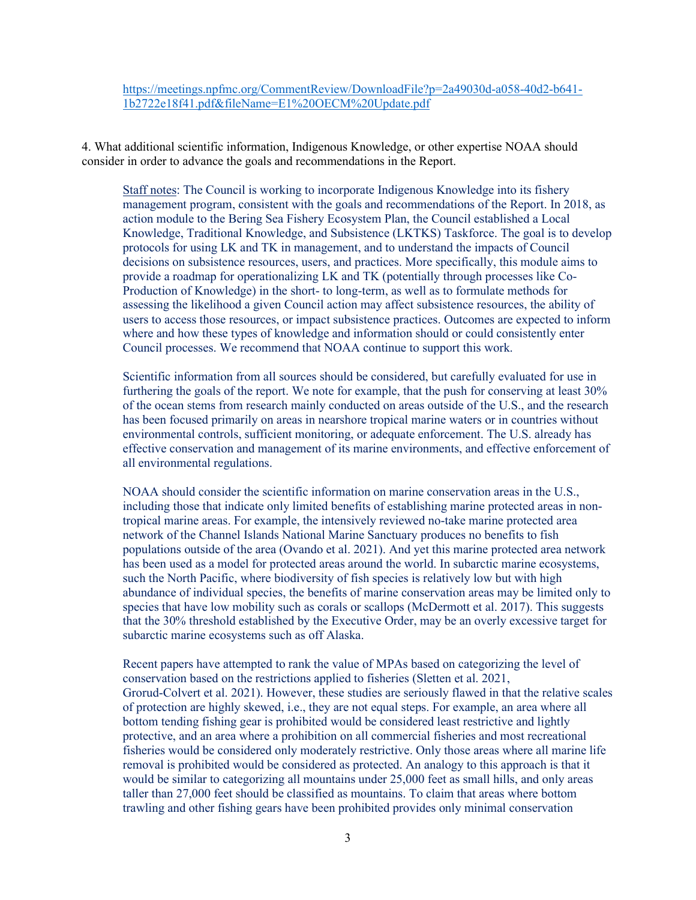[https://meetings.npfmc.org/CommentReview/DownloadFile?p=2a49030d-a058-40d2-b641-](https://meetings.npfmc.org/CommentReview/DownloadFile?p=2a49030d-a058-40d2-b641-1b2722e18f41.pdf&fileName=E1%20OECM%20Update.pdf) [1b2722e18f41.pdf&fileName=E1%20OECM%20Update.pdf](https://meetings.npfmc.org/CommentReview/DownloadFile?p=2a49030d-a058-40d2-b641-1b2722e18f41.pdf&fileName=E1%20OECM%20Update.pdf)

4. What additional scientific information, Indigenous Knowledge, or other expertise NOAA should consider in order to advance the goals and recommendations in the Report.

Staff notes: The Council is working to incorporate Indigenous Knowledge into its fishery management program, consistent with the goals and recommendations of the Report. In 2018, as action module to the Bering Sea Fishery Ecosystem Plan, the Council established a Local Knowledge, Traditional Knowledge, and Subsistence (LKTKS) Taskforce. The goal is to develop protocols for using LK and TK in management, and to understand the impacts of Council decisions on subsistence resources, users, and practices. More specifically, this module aims to provide a roadmap for operationalizing LK and TK (potentially through processes like Co-Production of Knowledge) in the short- to long-term, as well as to formulate methods for assessing the likelihood a given Council action may affect subsistence resources, the ability of users to access those resources, or impact subsistence practices. Outcomes are expected to inform where and how these types of knowledge and information should or could consistently enter Council processes. We recommend that NOAA continue to support this work.

Scientific information from all sources should be considered, but carefully evaluated for use in furthering the goals of the report. We note for example, that the push for conserving at least 30% of the ocean stems from research mainly conducted on areas outside of the U.S., and the research has been focused primarily on areas in nearshore tropical marine waters or in countries without environmental controls, sufficient monitoring, or adequate enforcement. The U.S. already has effective conservation and management of its marine environments, and effective enforcement of all environmental regulations.

NOAA should consider the scientific information on marine conservation areas in the U.S., including those that indicate only limited benefits of establishing marine protected areas in nontropical marine areas. For example, the intensively reviewed no-take marine protected area network of the Channel Islands National Marine Sanctuary produces no benefits to fish populations outside of the area (Ovando et al. 2021). And yet this marine protected area network has been used as a model for protected areas around the world. In subarctic marine ecosystems, such the North Pacific, where biodiversity of fish species is relatively low but with high abundance of individual species, the benefits of marine conservation areas may be limited only to species that have low mobility such as corals or scallops (McDermott et al. 2017). This suggests that the 30% threshold established by the Executive Order, may be an overly excessive target for subarctic marine ecosystems such as off Alaska.

Recent papers have attempted to rank the value of MPAs based on categorizing the level of conservation based on the restrictions applied to fisheries (Sletten et al. 2021, Grorud-Colvert et al. 2021). However, these studies are seriously flawed in that the relative scales of protection are highly skewed, i.e., they are not equal steps. For example, an area where all bottom tending fishing gear is prohibited would be considered least restrictive and lightly protective, and an area where a prohibition on all commercial fisheries and most recreational fisheries would be considered only moderately restrictive. Only those areas where all marine life removal is prohibited would be considered as protected. An analogy to this approach is that it would be similar to categorizing all mountains under 25,000 feet as small hills, and only areas taller than 27,000 feet should be classified as mountains. To claim that areas where bottom trawling and other fishing gears have been prohibited provides only minimal conservation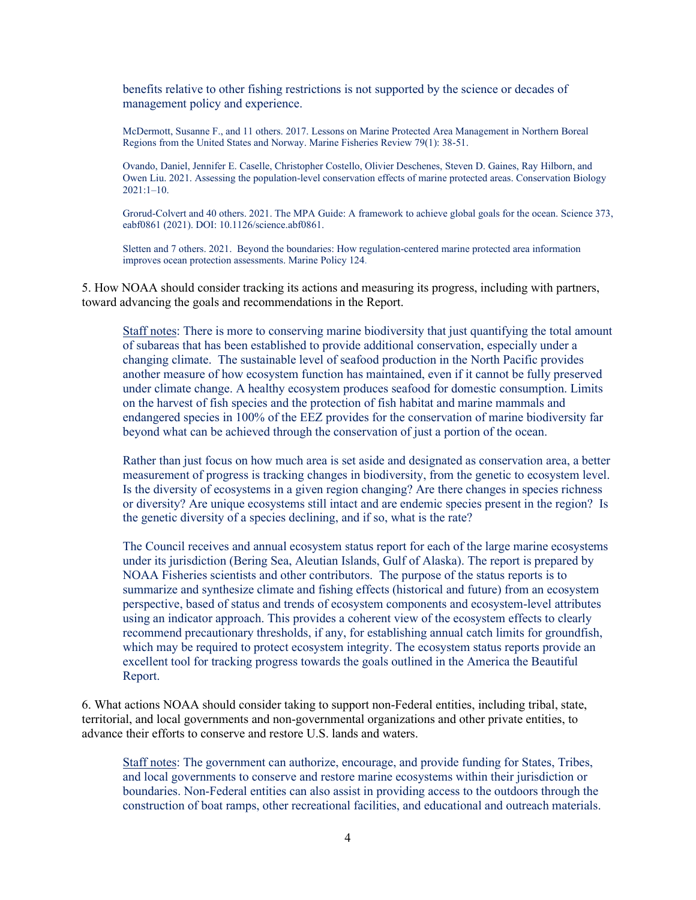benefits relative to other fishing restrictions is not supported by the science or decades of management policy and experience.

McDermott, Susanne F., and 11 others. 2017. Lessons on Marine Protected Area Management in Northern Boreal Regions from the United States and Norway. Marine Fisheries Review 79(1): 38-51.

Ovando, Daniel, Jennifer E. Caselle, Christopher Costello, Olivier Deschenes, Steven D. Gaines, Ray Hilborn, and Owen Liu. 2021. Assessing the population-level conservation effects of marine protected areas. Conservation Biology 2021:1–10.

Grorud-Colvert and 40 others. 2021. The MPA Guide: A framework to achieve global goals for the ocean. Science 373, eabf0861 (2021). DOI: 10.1126/science.abf0861.

Sletten and 7 others. 2021. Beyond the boundaries: How regulation-centered marine protected area information improves ocean protection assessments. Marine Policy 124.

5. How NOAA should consider tracking its actions and measuring its progress, including with partners, toward advancing the goals and recommendations in the Report.

Staff notes: There is more to conserving marine biodiversity that just quantifying the total amount of subareas that has been established to provide additional conservation, especially under a changing climate. The sustainable level of seafood production in the North Pacific provides another measure of how ecosystem function has maintained, even if it cannot be fully preserved under climate change. A healthy ecosystem produces seafood for domestic consumption. Limits on the harvest of fish species and the protection of fish habitat and marine mammals and endangered species in 100% of the EEZ provides for the conservation of marine biodiversity far beyond what can be achieved through the conservation of just a portion of the ocean.

Rather than just focus on how much area is set aside and designated as conservation area, a better measurement of progress is tracking changes in biodiversity, from the genetic to ecosystem level. Is the diversity of ecosystems in a given region changing? Are there changes in species richness or diversity? Are unique ecosystems still intact and are endemic species present in the region? Is the genetic diversity of a species declining, and if so, what is the rate?

The Council receives and annual ecosystem status report for each of the large marine ecosystems under its jurisdiction (Bering Sea, Aleutian Islands, Gulf of Alaska). The report is prepared by NOAA Fisheries scientists and other contributors. The purpose of the status reports is to summarize and synthesize climate and fishing effects (historical and future) from an ecosystem perspective, based of status and trends of ecosystem components and ecosystem-level attributes using an indicator approach. This provides a coherent view of the ecosystem effects to clearly recommend precautionary thresholds, if any, for establishing annual catch limits for groundfish, which may be required to protect ecosystem integrity. The ecosystem status reports provide an excellent tool for tracking progress towards the goals outlined in the America the Beautiful Report.

6. What actions NOAA should consider taking to support non-Federal entities, including tribal, state, territorial, and local governments and non-governmental organizations and other private entities, to advance their efforts to conserve and restore U.S. lands and waters.

Staff notes: The government can authorize, encourage, and provide funding for States, Tribes, and local governments to conserve and restore marine ecosystems within their jurisdiction or boundaries. Non-Federal entities can also assist in providing access to the outdoors through the construction of boat ramps, other recreational facilities, and educational and outreach materials.